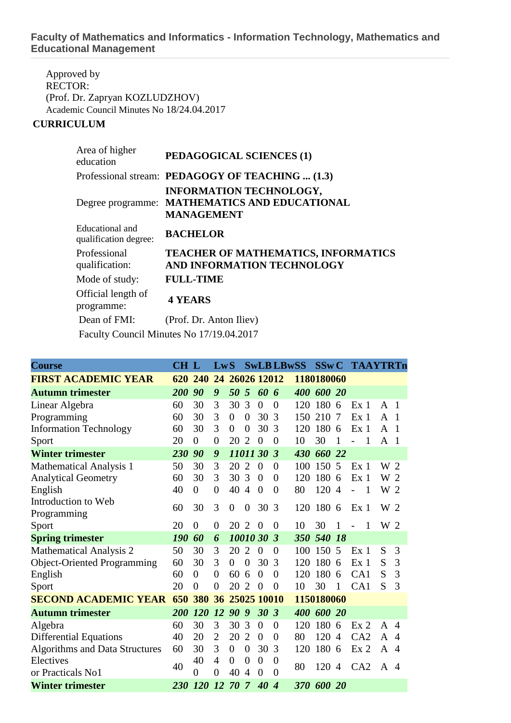## **Faculty of Mathematics and Informatics - Information Technology, Mathematics and Educational Management**

Approved by RECTOR: (Prof. Dr. Zapryan KOZLUDZHOV) Academic Council Minutes No 18/24.04.2017

## **CURRICULUM**

| Area of higher<br>education              | PEDAGOGICAL SCIENCES (1)                                                                             |
|------------------------------------------|------------------------------------------------------------------------------------------------------|
|                                          | Professional stream: PEDAGOGY OF TEACHING  (1.3)                                                     |
|                                          | <b>INFORMATION TECHNOLOGY,</b><br>Degree programme: MATHEMATICS AND EDUCATIONAL<br><b>MANAGEMENT</b> |
| Educational and<br>qualification degree: | <b>BACHELOR</b>                                                                                      |
| Professional<br>qualification:           | TEACHER OF MATHEMATICS, INFORMATICS<br>AND INFORMATION TECHNOLOGY                                    |
| Mode of study:                           | <b>FULL-TIME</b>                                                                                     |
| Official length of<br>programme:         | <b>4 YEARS</b>                                                                                       |
| Dean of FMI:                             | (Prof. Dr. Anton Iliev)                                                                              |
|                                          | Faculty Council Minutes No 17/19.04.2017                                                             |

| <b>Course</b>                         | <b>CH L</b> |                | LwS            |                  |                  |                 | <b>SwLB LBwSS</b>    |            | SSwC       |                | <b>TAAYTRTn</b>                  |              |                        |
|---------------------------------------|-------------|----------------|----------------|------------------|------------------|-----------------|----------------------|------------|------------|----------------|----------------------------------|--------------|------------------------|
| <b>FIRST ACADEMIC YEAR</b>            | 620         | 240            | 24             |                  |                  | 26026 12012     |                      |            | 1180180060 |                |                                  |              |                        |
| <b>Autumn trimester</b>               | <b>200</b>  | 90             | 9              | 50               | 5                | 60 6            |                      |            | 400 600 20 |                |                                  |              |                        |
| Linear Algebra                        | 60          | 30             | 3              | 30               | 3                | $\theta$        | $\theta$             | 120        | 180        | 6              | Ex <sub>1</sub>                  | $\mathsf{A}$ | $\overline{1}$         |
| Programming                           | 60          | 30             | 3              | $\boldsymbol{0}$ | $\boldsymbol{0}$ | 30              | 3                    | 150        | 210        | $\overline{7}$ | Ex <sub>1</sub>                  | A            | $\overline{1}$         |
| <b>Information Technology</b>         | 60          | 30             | 3              | $\overline{0}$   | $\overline{0}$   | 30              | 3                    | 120        | 180        | 6              | Ex <sub>1</sub>                  | A            | $\overline{1}$         |
| Sport                                 | 20          | $\theta$       | $\theta$       | 20               | $\overline{2}$   | $\theta$        | 0                    | 10         | 30         | 1              | 1                                | A            | $\overline{1}$         |
| <b>Winter trimester</b>               | 230         | 90             | 9              | 1101130          |                  |                 | 3                    | 430        | 660 22     |                |                                  |              |                        |
| <b>Mathematical Analysis 1</b>        | 50          | 30             | 3              | 20               | $\overline{2}$   | $\overline{0}$  | $\overline{0}$       | 100        | 150 5      |                | Ex <sub>1</sub>                  | W 2          |                        |
| <b>Analytical Geometry</b>            | 60          | 30             | 3              | 30               | 3                | $\overline{0}$  | $\overline{0}$       | 120        | 180        | 6              | Ex <sub>1</sub>                  | W 2          |                        |
| English                               | 40          | $\Omega$       | $\overline{0}$ | 40               | $\overline{4}$   | $\overline{0}$  | $\Omega$             | 80         | 120        | $\overline{4}$ | $\overline{1}$<br>$\overline{a}$ | W 2          |                        |
| Introduction to Web<br>Programming    | 60          | 30             | 3              | $\overline{0}$   | 0                | 30              | 3                    | 120        | 180 6      |                | Ex <sub>1</sub>                  | W 2          |                        |
| Sport                                 | 20          | $\overline{0}$ | $\theta$       | 20               | 2                | $\theta$        | $\theta$             | 10         | 30         | 1              | 1<br>$\overline{a}$              | W 2          |                        |
| <b>Spring trimester</b>               | 190         | 60             | 6              |                  |                  | 10010 30        | $\boldsymbol{\beta}$ | <b>350</b> | 540 18     |                |                                  |              |                        |
| <b>Mathematical Analysis 2</b>        | 50          | 30             | 3              | 20               | $\overline{2}$   | $\theta$        | $\theta$             | 100        | 150        | 5              | Ex <sub>1</sub>                  | S            | 3                      |
| <b>Object-Oriented Programming</b>    | 60          | 30             | 3              | $\overline{0}$   | $\boldsymbol{0}$ | 30              | 3                    | 120        | 180        | 6              | Ex <sub>1</sub>                  | S            | 3                      |
| English                               | 60          | $\Omega$       | $\overline{0}$ | 60               | 6                | $\theta$        | $\overline{0}$       | 120        | 180        | 6              | CA1                              | S            | 3                      |
| Sport                                 | 20          | $\theta$       | $\theta$       | 20               | $\overline{2}$   | $\theta$        | $\theta$             | 10         | 30         | 1              | CA <sub>1</sub>                  | S            | 3                      |
| <b>SECOND ACADEMIC YEAR</b>           |             | <b>380</b>     |                | 36 25025 10010   |                  |                 |                      | 1150180060 |            |                |                                  |              |                        |
| <b>Autumn trimester</b>               | 200         | <b>120</b>     | <i>12</i>      | 90               | 9                | 30 <sub>3</sub> |                      | 400        | 600 20     |                |                                  |              |                        |
| Algebra                               | 60          | 30             | 3              | 30               | 3                | $\overline{0}$  | $\overline{0}$       | 120        | 180        | 6              | Ex <sub>2</sub>                  | A            | $\overline{4}$         |
| <b>Differential Equations</b>         | 40          | 20             | $\overline{2}$ | 20               | $\overline{2}$   | $\theta$        | 0                    | 80         | 120        | $\overline{4}$ | CA2                              | A            | $\overline{A}$         |
| <b>Algorithms and Data Structures</b> | 60          | 30             | 3              | $\overline{0}$   | $\overline{0}$   | 30              | 3                    | 120        | 180        | 6              | Ex <sub>2</sub>                  | A            | $\overline{4}$         |
| Electives                             | 40          | 40             | $\overline{4}$ | $\overline{0}$   | $\theta$         | $\overline{0}$  | $\theta$             | 80         | 120        | $\overline{4}$ | CA2                              | A            | $\boldsymbol{\Lambda}$ |
| or Practicals No1                     |             | $\Omega$       | $\Omega$       | 40               | $\overline{4}$   | $\theta$        | $\theta$             |            |            |                |                                  |              |                        |
| <b>Winter trimester</b>               | 230         | <b>120</b>     | <i>12</i>      | 70               | $\overline{7}$   | 40              | 4                    |            | 370 600 20 |                |                                  |              |                        |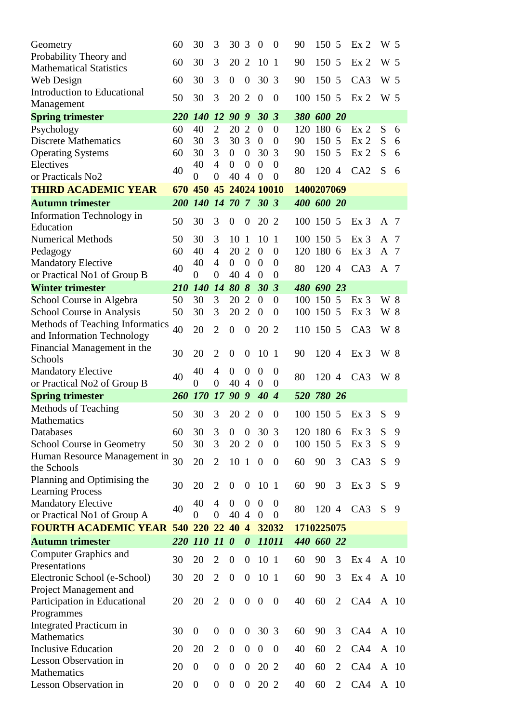| Geometry                                    | 60         | 30                           | 3                                  | 30                                 | $\overline{3}$                   | $\overline{0}$   | $\theta$                | 90         | 150        | 5                   | Ex <sub>2</sub> | W 5          |               |
|---------------------------------------------|------------|------------------------------|------------------------------------|------------------------------------|----------------------------------|------------------|-------------------------|------------|------------|---------------------|-----------------|--------------|---------------|
| Probability Theory and                      |            | 30                           |                                    | 20                                 | $\overline{2}$                   |                  | $\mathbf{1}$            |            |            |                     |                 | W 5          |               |
| <b>Mathematical Statistics</b>              | 60         |                              | 3                                  |                                    |                                  | 10               |                         | 90         | 150        | 5                   | Ex <sub>2</sub> |              |               |
| Web Design                                  | 60         | 30                           | 3                                  | $\overline{0}$                     | $\boldsymbol{0}$                 | 30               | 3                       | 90         | 150        | 5                   | CA3             | W 5          |               |
| Introduction to Educational                 | 50         | 30                           | 3                                  | 20                                 | 2                                | $\theta$         | $\overline{0}$          | 100        | 150 5      |                     | Ex <sub>2</sub> | W 5          |               |
| Management                                  |            |                              |                                    |                                    |                                  |                  |                         |            |            |                     |                 |              |               |
| <b>Spring trimester</b>                     | 220        | <b>140</b>                   | <b>12</b>                          | 90                                 | 9                                | 30 <sup>°</sup>  | $\boldsymbol{\beta}$    | <b>380</b> | 600 20     |                     |                 |              |               |
| Psychology                                  | 60         | 40                           | $\overline{2}$                     | 20                                 | $\overline{2}$                   | $\theta$         | $\overline{0}$          | 120        | 180 6      |                     | Ex <sub>2</sub> | S            | 6             |
| <b>Discrete Mathematics</b>                 | 60         | 30                           | 3                                  | 30                                 | $\overline{3}$                   | $\overline{0}$   | $\overline{0}$          | 90         | 150 5      |                     | Ex <sub>2</sub> | S            | 6             |
| <b>Operating Systems</b>                    | 60         | 30                           | 3                                  | $\boldsymbol{0}$                   | $\boldsymbol{0}$                 | 30               | 3                       | 90         | 150 5      |                     | Ex <sub>2</sub> | S            | 6             |
| Electives                                   | 40         | 40                           | $\overline{4}$                     | $\boldsymbol{0}$                   | $\overline{0}$                   | $\boldsymbol{0}$ | $\theta$                | 80         | 120 4      |                     | CA2             | S            | 6             |
| or Practicals No2                           |            | $\overline{0}$               | $\overline{0}$                     | 40                                 | $\overline{A}$                   | $\overline{0}$   | $\overline{0}$          |            |            |                     |                 |              |               |
| <b>THIRD ACADEMIC YEAR</b>                  | 670        | 450                          |                                    |                                    |                                  | 45 24024 10010   |                         | 1400207069 |            |                     |                 |              |               |
| <b>Autumn trimester</b>                     | 200        | <b>140</b>                   |                                    | 14 70 7                            |                                  | 30 <sub>3</sub>  |                         |            | 400 600 20 |                     |                 |              |               |
| Information Technology in                   |            |                              |                                    |                                    |                                  |                  |                         |            |            |                     |                 |              |               |
| Education                                   | 50         | 30                           | 3                                  | $\boldsymbol{0}$                   | $\theta$                         | 20 2             |                         | 100        | 150 5      |                     | Ex <sub>3</sub> | A 7          |               |
| <b>Numerical Methods</b>                    | 50         | 30                           | 3                                  | 10                                 | -1                               | 10               | -1                      |            | 100 150 5  |                     | Ex <sub>3</sub> | A            | -7            |
| Pedagogy                                    | 60         | 40                           | 4                                  | 20 2                               |                                  | $\theta$         | $\overline{0}$          |            | 120 180 6  |                     | Ex 3            | A            | -7            |
| <b>Mandatory Elective</b>                   |            | 40                           | 4                                  | $\overline{0}$                     | $\overline{0}$                   | $\theta$         | $\theta$                |            |            |                     |                 |              |               |
| or Practical No1 of Group B                 | 40         | $\boldsymbol{0}$             | $\boldsymbol{0}$                   | 40                                 | $\overline{4}$                   | $\theta$         | $\overline{0}$          | 80         | 120 4      |                     | CA3             | $A$ 7        |               |
| <b>Winter trimester</b>                     | 210        | <b>140</b>                   | 14                                 | 80                                 | $\boldsymbol{\delta}$            | 30               | $\overline{\mathbf{3}}$ |            | 480 690 23 |                     |                 |              |               |
| School Course in Algebra                    | 50         | 30                           | 3                                  | 20                                 | $\overline{2}$                   | $\overline{0}$   | $\overline{0}$          | 100        | 150 5      |                     | Ex <sub>3</sub> | W 8          |               |
| School Course in Analysis                   | 50         | 30                           | 3                                  | 20                                 | $\overline{2}$                   | $\overline{0}$   | $\overline{0}$          | 100        | 150 5      |                     | Ex <sub>3</sub> | W 8          |               |
| Methods of Teaching Informatics             | 40         | 20                           | $\overline{2}$                     | $\overline{0}$                     | $\overline{0}$                   | 20               | 2                       | 110        | 150 5      |                     | CA3             | W 8          |               |
| and Information Technology                  |            |                              |                                    |                                    |                                  |                  |                         |            |            |                     |                 |              |               |
| Financial Management in the                 | 30         | 20                           | $\overline{2}$                     |                                    |                                  | 10               | $\overline{1}$          | 90         | 120 4      |                     | Ex <sub>3</sub> | W 8          |               |
| Schools                                     |            |                              |                                    | $\theta$                           | $\theta$                         |                  |                         |            |            |                     |                 |              |               |
| <b>Mandatory Elective</b>                   | 40         | 40                           | 4                                  | $\overline{0}$                     | $\boldsymbol{0}$                 | $\theta$         | $\theta$                | 80         | 120 4      |                     | CA3             | W 8          |               |
| or Practical No2 of Group B                 |            | $\Omega$                     | $\theta$                           | 40                                 | $\overline{4}$                   | $\overline{0}$   | $\overline{0}$          |            |            |                     |                 |              |               |
| <b>Spring trimester</b>                     | 260        | <b>170</b>                   | 17                                 | 90 9                               |                                  | 40               | $\overline{4}$          | 520        | 780 26     |                     |                 |              |               |
|                                             |            |                              |                                    |                                    |                                  |                  |                         |            |            |                     |                 |              |               |
| Methods of Teaching                         |            |                              |                                    |                                    |                                  |                  |                         |            |            |                     |                 |              |               |
| Mathematics                                 | 50         | 30                           | 3                                  | 20                                 | 2                                | $\theta$         | $\overline{0}$          | 100        | 150 5      |                     | Ex <sub>3</sub> | S            | 9             |
| Databases                                   | 60         | 30                           | 3                                  | $\boldsymbol{0}$                   | $\boldsymbol{0}$                 | 30 3             |                         |            | 120 180 6  |                     | Ex <sub>3</sub> | S            | 9             |
| School Course in Geometry                   | 50         | 30                           | 3                                  | 20 2                               |                                  | $\boldsymbol{0}$ | $\overline{0}$          |            | 100 150 5  |                     | Ex <sub>3</sub> | S            | 9             |
| Human Resource Management in                |            |                              |                                    |                                    |                                  |                  |                         |            |            |                     |                 |              |               |
| the Schools                                 | 30         | 20                           | $\overline{2}$                     | 10 1                               |                                  | $\overline{0}$   | $\theta$                | 60         | 90         | 3                   | CA3             | S            | 9             |
| Planning and Optimising the                 |            |                              |                                    |                                    |                                  |                  |                         |            |            |                     |                 |              |               |
| <b>Learning Process</b>                     | 30         | 20                           | $\overline{2}$                     | $\boldsymbol{0}$                   | $\overline{0}$                   | 10 1             |                         | 60         | 90         | 3                   | Ex <sub>3</sub> | S            | 9             |
| <b>Mandatory Elective</b>                   |            | 40                           | 4                                  | $\overline{0}$                     | $\overline{0}$                   | $\theta$         | 0                       |            |            |                     |                 |              |               |
| or Practical No1 of Group A                 | 40         | $\Omega$                     | $\overline{0}$                     | 40 4                               |                                  | $\theta$         | $\theta$                | 80         | 120 4      |                     | CA3             | S            | 9             |
| <b>FOURTH ACADEMIC YEAR</b>                 |            | 540 220 22 40                |                                    |                                    | $\overline{4}$                   | 32032            |                         |            | 1710225075 |                     |                 |              |               |
| <b>Autumn trimester</b>                     | <b>220</b> | 110 11 0                     |                                    |                                    | $\boldsymbol{\theta}$            | 11011            |                         |            | 440 660 22 |                     |                 |              |               |
| Computer Graphics and                       |            |                              |                                    |                                    |                                  |                  |                         |            |            |                     |                 |              |               |
| Presentations                               | 30         | 20                           | $\overline{2}$                     | $\overline{0}$                     | $\theta$                         | 10 1             |                         | 60         | 90         | 3                   | Ex <sub>4</sub> | $\mathbf{A}$ | <sup>10</sup> |
| Electronic School (e-School)                | 30         | 20                           | $\overline{2}$                     | $\boldsymbol{0}$                   | $\boldsymbol{0}$                 | 10 1             |                         | 60         | 90         | 3                   | Ex <sub>4</sub> | $\mathbf{A}$ | -10           |
| Project Management and                      |            |                              |                                    |                                    |                                  |                  |                         |            |            |                     |                 |              |               |
| Participation in Educational                | 20         | 20                           | $\overline{2}$                     | $\boldsymbol{0}$                   | $\boldsymbol{0}$                 | $\boldsymbol{0}$ | $\boldsymbol{0}$        | 40         | 60         | $\overline{2}$      | CA4             |              | A 10          |
| Programmes                                  |            |                              |                                    |                                    |                                  |                  |                         |            |            |                     |                 |              |               |
| Integrated Practicum in                     |            |                              |                                    |                                    |                                  |                  |                         |            |            |                     |                 |              |               |
| Mathematics                                 | 30         | $\mathbf{0}$                 | $\boldsymbol{0}$                   | $\boldsymbol{0}$                   | $\overline{0}$                   | 30 3             |                         | 60         | 90         | 3                   | CA4             | A            | -10           |
| <b>Inclusive Education</b>                  | 20         | 20                           | 2                                  | $\boldsymbol{0}$                   | $\boldsymbol{0}$                 | $\theta$         | $\theta$                | 40         | 60         | $\overline{2}$      | CA4             | A            | -10           |
| <b>Lesson Observation in</b>                |            |                              |                                    |                                    |                                  |                  |                         |            |            |                     |                 |              |               |
| Mathematics<br><b>Lesson Observation in</b> | 20<br>20   | $\theta$<br>$\boldsymbol{0}$ | $\overline{0}$<br>$\boldsymbol{0}$ | $\overline{0}$<br>$\boldsymbol{0}$ | $\mathbf{0}$<br>$\boldsymbol{0}$ | 20<br>20 2       | 2                       | 40<br>40   | 60<br>60   | 2<br>$\overline{2}$ | CA4<br>CA4      | A            | 10<br>A 10    |